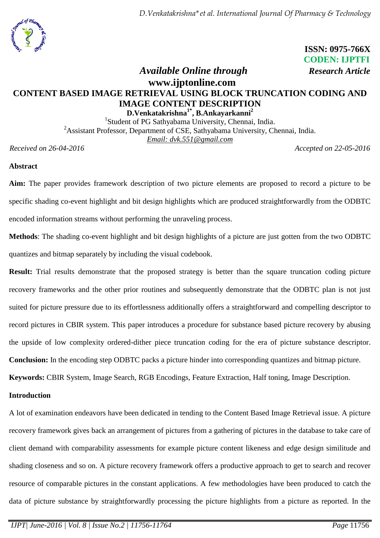*D.Venkatakrishna\*et al. International Journal Of Pharmacy & Technology*



 **ISSN: 0975-766X CODEN: IJPTFI**  *Available Online through Research Article*

# **www.ijptonline.com CONTENT BASED IMAGE RETRIEVAL USING BLOCK TRUNCATION CODING AND IMAGE CONTENT DESCRIPTION D.Venkatakrishna1\*, B.Ankayarkanni<sup>2</sup>**

<sup>1</sup>Student of PG Sathyabama University, Chennai, India. <sup>2</sup>Assistant Professor, Department of CSE, Sathyabama University, Chennai, India. *Email: [dvk.551@gmail.com](mailto:dvk.551@gmail.com1)*

*Received on 26-04-2016 Accepted on 22-05-2016*

### **Abstract**

**Aim:** The paper provides framework description of two picture elements are proposed to record a picture to be specific shading co-event highlight and bit design highlights which are produced straightforwardly from the ODBTC encoded information streams without performing the unraveling process.

**Methods**: The shading co-event highlight and bit design highlights of a picture are just gotten from the two ODBTC quantizes and bitmap separately by including the visual codebook.

**Result:** Trial results demonstrate that the proposed strategy is better than the square truncation coding picture recovery frameworks and the other prior routines and subsequently demonstrate that the ODBTC plan is not just suited for picture pressure due to its effortlessness additionally offers a straightforward and compelling descriptor to record pictures in CBIR system. This paper introduces a procedure for substance based picture recovery by abusing the upside of low complexity ordered-dither piece truncation coding for the era of picture substance descriptor. **Conclusion:** In the encoding step ODBTC packs a picture hinder into corresponding quantizes and bitmap picture.

**Keywords:** CBIR System, Image Search, RGB Encodings, Feature Extraction, Half toning, Image Description.

### **Introduction**

A lot of examination endeavors have been dedicated in tending to the Content Based Image Retrieval issue. A picture recovery framework gives back an arrangement of pictures from a gathering of pictures in the database to take care of client demand with comparability assessments for example picture content likeness and edge design similitude and shading closeness and so on. A picture recovery framework offers a productive approach to get to search and recover resource of comparable pictures in the constant applications. A few methodologies have been produced to catch the data of picture substance by straightforwardly processing the picture highlights from a picture as reported. In the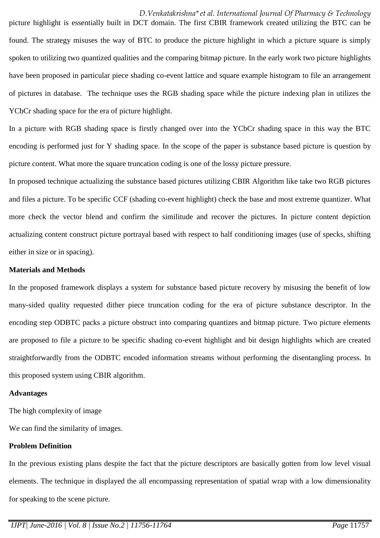picture highlight is essentially built in DCT domain. The first CBIR framework created utilizing the BTC can be found. The strategy misuses the way of BTC to produce the picture highlight in which a picture square is simply spoken to utilizing two quantized qualities and the comparing bitmap picture. In the early work two picture highlights have been proposed in particular piece shading co-event lattice and square example histogram to file an arrangement of pictures in database. The technique uses the RGB shading space while the picture indexing plan in utilizes the YCbCr shading space for the era of picture highlight.

In a picture with RGB shading space is firstly changed over into the YCbCr shading space in this way the BTC encoding is performed just for Y shading space. In the scope of the paper is substance based picture is question by picture content. What more the square truncation coding is one of the lossy picture pressure.

In proposed technique actualizing the substance based pictures utilizing CBIR Algorithm like take two RGB pictures and files a picture. To be specific CCF (shading co-event highlight) check the base and most extreme quantizer. What more check the vector blend and confirm the similitude and recover the pictures. In picture content depiction actualizing content construct picture portrayal based with respect to half conditioning images (use of specks, shifting either in size or in spacing).

#### **Materials and Methods**

In the proposed framework displays a system for substance based picture recovery by misusing the benefit of low many-sided quality requested dither piece truncation coding for the era of picture substance descriptor. In the encoding step ODBTC packs a picture obstruct into comparing quantizes and bitmap picture. Two picture elements are proposed to file a picture to be specific shading co-event highlight and bit design highlights which are created straightforwardly from the ODBTC encoded information streams without performing the disentangling process. In this proposed system using CBIR algorithm.

#### **Advantages**

The high complexity of image

We can find the similarity of images.

#### **Problem Definition**

In the previous existing plans despite the fact that the picture descriptors are basically gotten from low level visual elements. The technique in displayed the all encompassing representation of spatial wrap with a low dimensionality for speaking to the scene picture.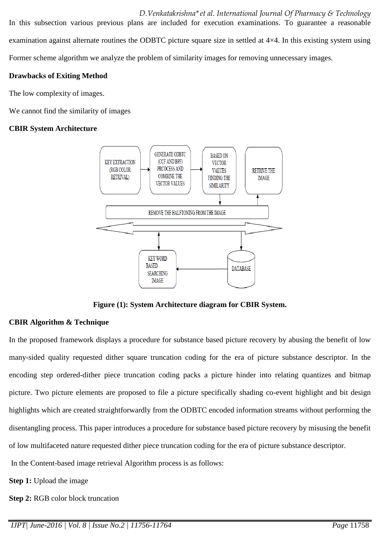*D.Venkatakrishna\*et al. International Journal Of Pharmacy & Technology* In this subsection various previous plans are included for execution examinations. To guarantee a reasonable examination against alternate routines the ODBTC picture square size in settled at 4×4. In this existing system using Former scheme algorithm we analyze the problem of similarity images for removing unnecessary images.

### **Drawbacks of Exiting Method**

The low complexity of images.

We cannot find the similarity of images

### **CBIR System Architecture**



**Figure (1): System Architecture diagram for CBIR System.**

### **CBIR Algorithm & Technique**

In the proposed framework displays a procedure for substance based picture recovery by abusing the benefit of low many-sided quality requested dither square truncation coding for the era of picture substance descriptor. In the encoding step ordered-dither piece truncation coding packs a picture hinder into relating quantizes and bitmap picture. Two picture elements are proposed to file a picture specifically shading co-event highlight and bit design highlights which are created straightforwardly from the ODBTC encoded information streams without performing the disentangling process. This paper introduces a procedure for substance based picture recovery by misusing the benefit of low multifaceted nature requested dither piece truncation coding for the era of picture substance descriptor.

In the Content-based image retrieval Algorithm process is as follows:

**Step 1:** Upload the image

**Step 2:** RGB color block truncation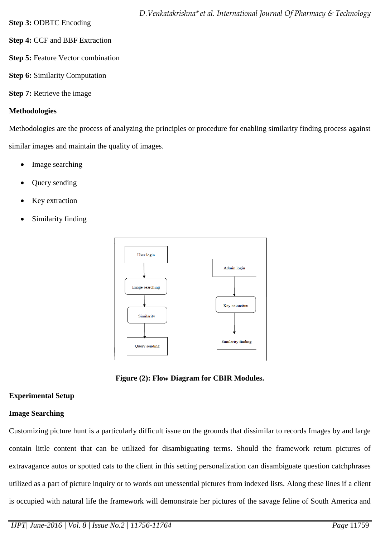- **Step 4:** CCF and BBF Extraction
- **Step 5:** Feature Vector combination
- **Step 6:** Similarity Computation
- **Step 7:** Retrieve the image

# **Methodologies**

Methodologies are the process of analyzing the principles or procedure for enabling similarity finding process against similar images and maintain the quality of images.

- Image searching
- Query sending
- Key extraction
- Similarity finding



**Figure (2): Flow Diagram for CBIR Modules.**

# **Experimental Setup**

# **Image Searching**

Customizing picture hunt is a particularly difficult issue on the grounds that dissimilar to records Images by and large contain little content that can be utilized for disambiguating terms. Should the framework return pictures of extravagance autos or spotted cats to the client in this setting personalization can disambiguate question catchphrases utilized as a part of picture inquiry or to words out unessential pictures from indexed lists. Along these lines if a client is occupied with natural life the framework will demonstrate her pictures of the savage feline of South America and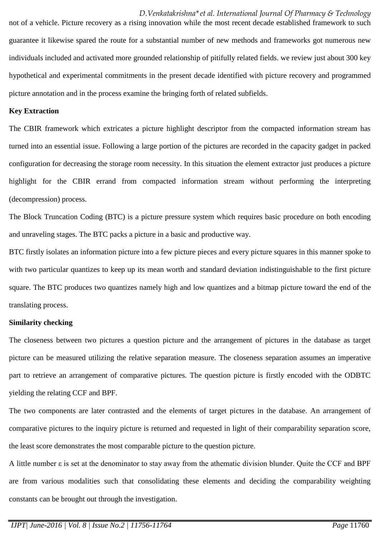*D.Venkatakrishna\*et al. International Journal Of Pharmacy & Technology* not of a vehicle. Picture recovery as a rising innovation while the most recent decade established framework to such guarantee it likewise spared the route for a substantial number of new methods and frameworks got numerous new individuals included and activated more grounded relationship of pitifully related fields. we review just about 300 key hypothetical and experimental commitments in the present decade identified with picture recovery and programmed picture annotation and in the process examine the bringing forth of related subfields.

#### **Key Extraction**

The CBIR framework which extricates a picture highlight descriptor from the compacted information stream has turned into an essential issue. Following a large portion of the pictures are recorded in the capacity gadget in packed configuration for decreasing the storage room necessity. In this situation the element extractor just produces a picture highlight for the CBIR errand from compacted information stream without performing the interpreting (decompression) process.

The Block Truncation Coding (BTC) is a picture pressure system which requires basic procedure on both encoding and unraveling stages. The BTC packs a picture in a basic and productive way.

BTC firstly isolates an information picture into a few picture pieces and every picture squares in this manner spoke to with two particular quantizes to keep up its mean worth and standard deviation indistinguishable to the first picture square. The BTC produces two quantizes namely high and low quantizes and a bitmap picture toward the end of the translating process.

#### **Similarity checking**

The closeness between two pictures a question picture and the arrangement of pictures in the database as target picture can be measured utilizing the relative separation measure. The closeness separation assumes an imperative part to retrieve an arrangement of comparative pictures. The question picture is firstly encoded with the ODBTC yielding the relating CCF and BPF.

The two components are later contrasted and the elements of target pictures in the database. An arrangement of comparative pictures to the inquiry picture is returned and requested in light of their comparability separation score, the least score demonstrates the most comparable picture to the question picture.

A little number ε is set at the denominator to stay away from the athematic division blunder. Quite the CCF and BPF are from various modalities such that consolidating these elements and deciding the comparability weighting constants can be brought out through the investigation.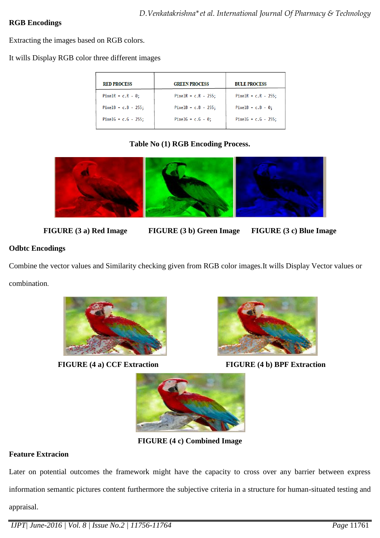## **RGB Encodings**

Extracting the images based on RGB colors.

It wills Display RGB color three different images

| <b>RED PROCESS</b>     | <b>GREEN PROCESS</b>      | <b>BULE PROCESS</b>    |
|------------------------|---------------------------|------------------------|
| PixelR = $c.R - 0$ ;   | PixelR = $c.R - 255$ ;    | PixelR = $c.R - 255$ ; |
| PixelB = $c.B - 255$ ; | PixelB = $c.B - 255$ ;    | PixelB = $c.B - 0$ ;   |
| PixelG = $c.G - 255$ ; | PixelG = $c.G - \theta$ ; | PixelG = $c.G - 255$ ; |

## **Table No (1) RGB Encoding Process.**



- **FIGURE (3 a) Red Image FIGURE (3 b) Green Image FIGURE (3 c) Blue Image**
- 

# **Odbtc Encodings**

Combine the vector values and Similarity checking given from RGB color images.It wills Display Vector values or combination.



**FIGURE (4 a) CCF Extraction** FIGURE (4 b) BPF Extraction





**FIGURE (4 c) Combined Image**

# **Feature Extracion**

Later on potential outcomes the framework might have the capacity to cross over any barrier between express information semantic pictures content furthermore the subjective criteria in a structure for human-situated testing and appraisal.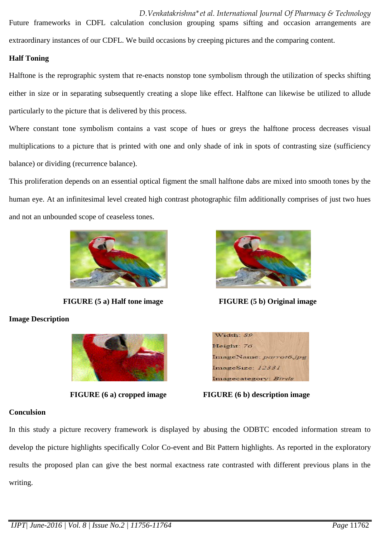*D.Venkatakrishna\*et al. International Journal Of Pharmacy & Technology* Future frameworks in CDFL calculation conclusion grouping spams sifting and occasion arrangements are extraordinary instances of our CDFL. We build occasions by creeping pictures and the comparing content.

### **Half Toning**

Halftone is the reprographic system that re-enacts nonstop tone symbolism through the utilization of specks shifting either in size or in separating subsequently creating a slope like effect. Halftone can likewise be utilized to allude particularly to the picture that is delivered by this process.

Where constant tone symbolism contains a vast scope of hues or greys the halftone process decreases visual multiplications to a picture that is printed with one and only shade of ink in spots of contrasting size (sufficiency balance) or dividing (recurrence balance).

This proliferation depends on an essential optical figment the small halftone dabs are mixed into smooth tones by the human eye. At an infinitesimal level created high contrast photographic film additionally comprises of just two hues and not an unbounded scope of ceaseless tones.



**FIGURE (5 a) Half tone image FIGURE (5 b) Original image**

**Image Description**







**FIGURE (6 a) cropped image FIGURE (6 b) description image**

### **Conculsion**

In this study a picture recovery framework is displayed by abusing the ODBTC encoded information stream to develop the picture highlights specifically Color Co-event and Bit Pattern highlights. As reported in the exploratory results the proposed plan can give the best normal exactness rate contrasted with different previous plans in the writing.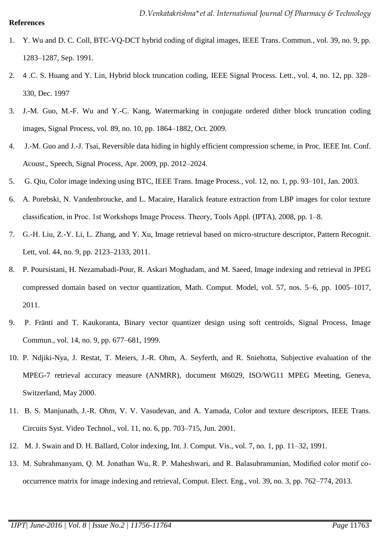- 1. Y. Wu and D. C. Coll, BTC-VQ-DCT hybrid coding of digital images, IEEE Trans. Commun*.*, vol. 39, no. 9, pp. 1283–1287, Sep. 1991.
- 2. 4 .C. S. Huang and Y. Lin, Hybrid block truncation coding, IEEE Signal Process. Lett*.*, vol. 4, no. 12, pp. 328– 330, Dec. 1997
- 3. J.-M. Guo, M.-F. Wu and Y.-C. Kang, Watermarking in conjugate ordered dither block truncation coding images, Signal Process, vol. 89, no. 10, pp. 1864–1882, Oct. 2009.
- 4. J.-M. Guo and J.-J. Tsai, Reversible data hiding in highly efficient compression scheme, in Proc*.* IEEE Int. Conf. Acoust., Speech, Signal Process*,* Apr. 2009, pp. 2012–2024.
- 5. G. Qiu, Color image indexing using BTC, IEEE Trans. Image Process*.*, vol. 12, no. 1, pp. 93–101, Jan. 2003.
- 6. A. Porebski, N. Vandenbroucke, and L. Macaire, Haralick feature extraction from LBP images for color texture classification, in Proc. 1st Workshops Image Process. Theory, Tools Appl. (IPTA), 2008, pp. 1–8.
- 7. G.-H. Liu, Z.-Y. Li, L. Zhang, and Y. Xu, Image retrieval based on micro-structure descriptor, Pattern Recognit. Lett, vol. 44, no. 9, pp. 2123–2133, 2011.
- 8. P. Poursistani, H. Nezamabadi-Pour, R. Askari Moghadam, and M. Saeed, Image indexing and retrieval in JPEG compressed domain based on vector quantization, Math. Comput. Model, vol. 57, nos. 5–6, pp. 1005–1017, 2011.
- 9. P. Fränti and T. Kaukoranta, Binary vector quantizer design using soft centroids, Signal Process, Image Commun., vol. 14, no. 9, pp. 677–681, 1999.
- 10. P. Ndjiki-Nya, J. Restat, T. Meiers, J.-R. Ohm, A. Seyferth, and R. Sniehotta, Subjective evaluation of the MPEG-7 retrieval accuracy measure (ANMRR), document M6029, ISO/WG11 MPEG Meeting, Geneva, Switzerland, May 2000.
- 11. B. S. Manjunath, J.-R. Ohm, V. V. Vasudevan, and A. Yamada, Color and texture descriptors, IEEE Trans. Circuits Syst. Video Technol., vol. 11, no. 6, pp. 703–715, Jun. 2001.
- 12. M. J. Swain and D. H. Ballard, Color indexing, Int. J. Comput. Vis., vol. 7, no. 1, pp. 11–32, 1991.
- 13. M. Subrahmanyam, Q. M. Jonathan Wu, R. P. Maheshwari, and R. Balasubramanian, Modified color motif cooccurrence matrix for image indexing and retrieval, Comput. Elect. Eng., vol. 39, no. 3, pp. 762–774, 2013.